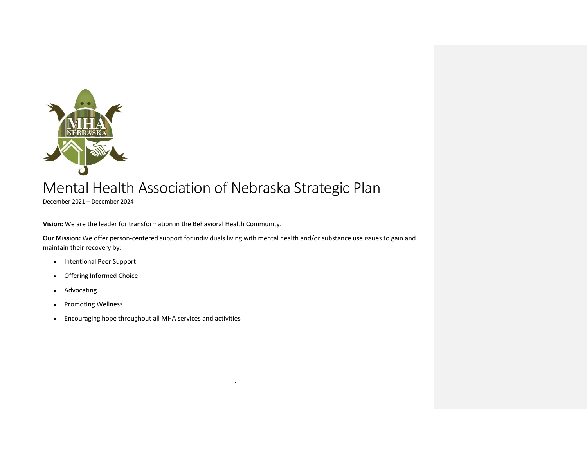

# Mental Health Association of Nebraska Strategic Plan

December 2021 – December 2024

**Vision:** We are the leader for transformation in the Behavioral Health Community.

**Our Mission:** We offer person-centered support for individuals living with mental health and/or substance use issues to gain and maintain their recovery by:

- Intentional Peer Support
- Offering Informed Choice
- Advocating
- Promoting Wellness
- Encouraging hope throughout all MHA services and activities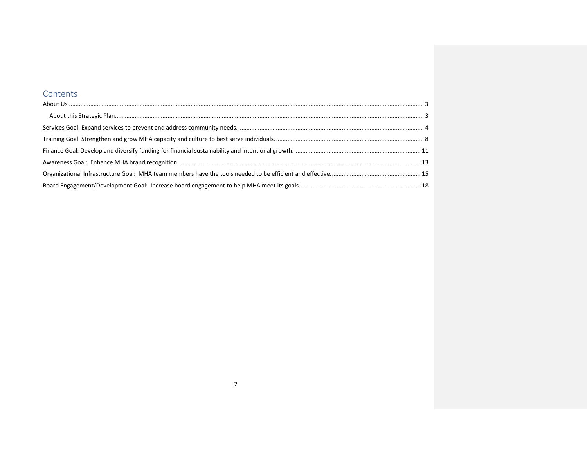#### Contents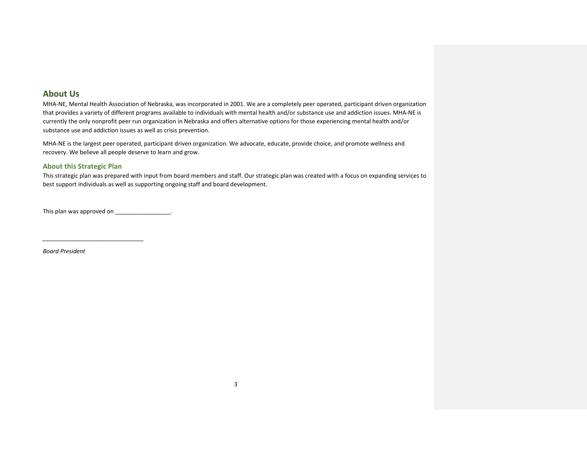#### <span id="page-2-0"></span>**About Us**

MHA-NE, Mental Health Association of Nebraska, was incorporated in 2001. We are a completely peer operated, participant driven organization that provides a variety of different programs available to individuals with mental health and/or substance use and addiction issues. MHA-NE is currently the only nonprofit peer run organization in Nebraska and offers alternative options for those experiencing mental health and/or substance use and addiction issues as well as crisis prevention.

MHA-NE is the largest peer operated, participant driven organization. We advocate, educate, provide choice, and promote wellness and recovery. We believe all people deserve to learn and grow.

#### <span id="page-2-1"></span>**About this Strategic Plan**

This strategic plan was prepared with input from board members and staff. Our strategic plan was created with a focus on expanding services to best support individuals as well as supporting ongoing staff and board development.

This plan was approved on \_\_\_\_\_\_\_\_\_\_\_\_\_\_\_\_\_.

*\_\_\_\_\_\_\_\_\_\_\_\_\_\_\_\_\_\_\_\_\_\_\_\_\_\_\_\_\_\_\_*

*Board President*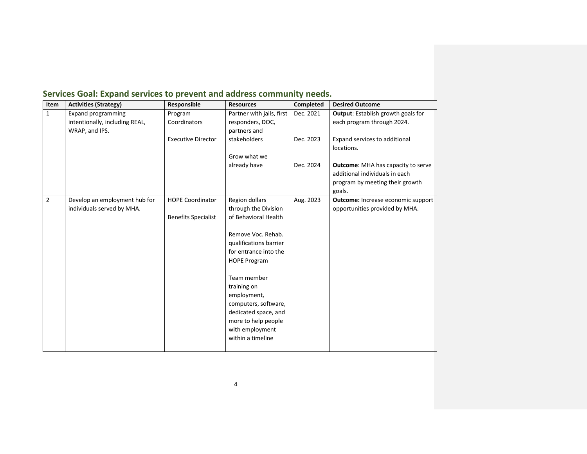| Item           | <b>Activities (Strategy)</b>   | Responsible                | <b>Resources</b>          | <b>Completed</b> | <b>Desired Outcome</b>                    |
|----------------|--------------------------------|----------------------------|---------------------------|------------------|-------------------------------------------|
| $\mathbf{1}$   | <b>Expand programming</b>      | Program                    | Partner with jails, first | Dec. 2021        | Output: Establish growth goals for        |
|                | intentionally, including REAL, | Coordinators               | responders, DOC,          |                  | each program through 2024.                |
|                | WRAP, and IPS.                 |                            | partners and              |                  |                                           |
|                |                                | <b>Executive Director</b>  | stakeholders              | Dec. 2023        | Expand services to additional             |
|                |                                |                            |                           |                  | locations.                                |
|                |                                |                            | Grow what we              |                  |                                           |
|                |                                |                            | already have              | Dec. 2024        | <b>Outcome:</b> MHA has capacity to serve |
|                |                                |                            |                           |                  | additional individuals in each            |
|                |                                |                            |                           |                  | program by meeting their growth           |
|                |                                |                            |                           |                  | goals.                                    |
| $\overline{2}$ | Develop an employment hub for  | <b>HOPE Coordinator</b>    | Region dollars            | Aug. 2023        | <b>Outcome:</b> Increase economic support |
|                | individuals served by MHA.     |                            | through the Division      |                  | opportunities provided by MHA.            |
|                |                                | <b>Benefits Specialist</b> | of Behavioral Health      |                  |                                           |
|                |                                |                            |                           |                  |                                           |
|                |                                |                            | Remove Voc. Rehab.        |                  |                                           |
|                |                                |                            | qualifications barrier    |                  |                                           |
|                |                                |                            | for entrance into the     |                  |                                           |
|                |                                |                            | <b>HOPE Program</b>       |                  |                                           |
|                |                                |                            |                           |                  |                                           |
|                |                                |                            | Team member               |                  |                                           |
|                |                                |                            | training on               |                  |                                           |
|                |                                |                            | employment,               |                  |                                           |
|                |                                |                            | computers, software,      |                  |                                           |
|                |                                |                            | dedicated space, and      |                  |                                           |
|                |                                |                            | more to help people       |                  |                                           |
|                |                                |                            | with employment           |                  |                                           |
|                |                                |                            | within a timeline         |                  |                                           |
|                |                                |                            |                           |                  |                                           |

#### <span id="page-3-0"></span>**Services Goal: Expand services to prevent and address community needs.**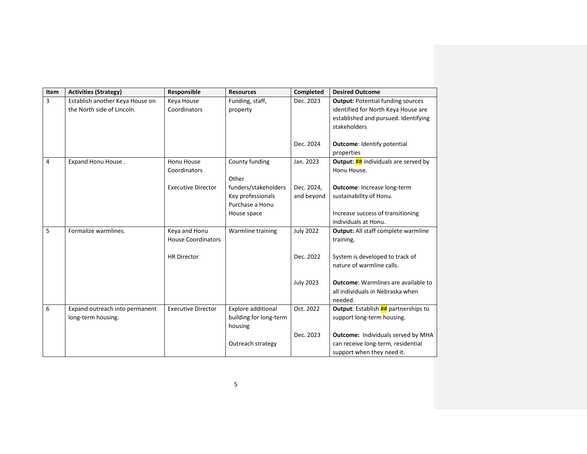| Item           | <b>Activities (Strategy)</b>    | Responsible               | <b>Resources</b>       | Completed        | <b>Desired Outcome</b>                             |
|----------------|---------------------------------|---------------------------|------------------------|------------------|----------------------------------------------------|
| 3              | Establish another Keya House on | Keya House                | Funding, staff,        | Dec. 2023        | <b>Output: Potential funding sources</b>           |
|                | the North side of Lincoln.      | Coordinators              | property               |                  | identified for North Keya House are                |
|                |                                 |                           |                        |                  | established and pursued. Identifying               |
|                |                                 |                           |                        |                  | stakeholders                                       |
|                |                                 |                           |                        |                  |                                                    |
|                |                                 |                           |                        | Dec. 2024        | <b>Outcome: Identify potential</b>                 |
|                |                                 |                           |                        |                  | properties                                         |
| $\overline{4}$ | Expand Honu House.              | Honu House                | County funding         | Jan. 2023        | <b>Output: ##</b> individuals are served by        |
|                |                                 | Coordinators              |                        |                  | Honu House.                                        |
|                |                                 |                           | Other                  |                  |                                                    |
|                |                                 | <b>Executive Director</b> | funders/stakeholders   | Dec. 2024,       | <b>Outcome: Increase long-term</b>                 |
|                |                                 |                           | Key professionals      | and beyond       | sustainability of Honu.                            |
|                |                                 |                           | Purchase a Honu        |                  |                                                    |
|                |                                 |                           | House space            |                  | Increase success of transitioning                  |
|                |                                 |                           |                        |                  | individuals at Honu.                               |
| 5              | Formalize warmlines.            | Keya and Honu             | Warmline training      | <b>July 2022</b> | <b>Output:</b> All staff complete warmline         |
|                |                                 | <b>House Coordinators</b> |                        |                  | training.                                          |
|                |                                 |                           |                        |                  |                                                    |
|                |                                 | <b>HR Director</b>        |                        | Dec. 2022        | System is developed to track of                    |
|                |                                 |                           |                        |                  | nature of warmline calls.                          |
|                |                                 |                           |                        |                  | <b>Outcome:</b> Warmlines are available to         |
|                |                                 |                           |                        | <b>July 2023</b> | all individuals in Nebraska when                   |
|                |                                 |                           |                        |                  | needed.                                            |
| 6              | Expand outreach into permanent  | <b>Executive Director</b> | Explore additional     | Oct. 2022        | <b>Output:</b> Establish <b>##</b> partnerships to |
|                | long-term housing.              |                           | building for long-term |                  | support long-term housing.                         |
|                |                                 |                           | housing                |                  |                                                    |
|                |                                 |                           |                        | Dec. 2023        | Outcome: Individuals served by MHA                 |
|                |                                 |                           | Outreach strategy      |                  | can receive long-term, residential                 |
|                |                                 |                           |                        |                  |                                                    |
|                |                                 |                           |                        |                  | support when they need it.                         |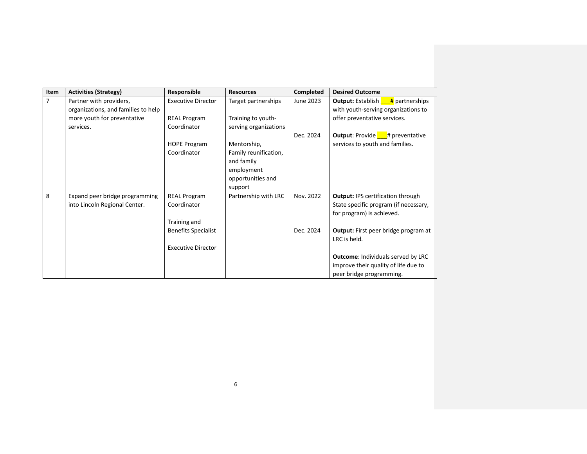| Item           | <b>Activities (Strategy)</b>        | Responsible                | <b>Resources</b>      | Completed | <b>Desired Outcome</b>                              |
|----------------|-------------------------------------|----------------------------|-----------------------|-----------|-----------------------------------------------------|
| $\overline{7}$ | Partner with providers,             | <b>Executive Director</b>  | Target partnerships   | June 2023 | <b>Output:</b> Establish $\frac{H}{4}$ partnerships |
|                | organizations, and families to help |                            |                       |           | with youth-serving organizations to                 |
|                | more youth for preventative         | <b>REAL Program</b>        | Training to youth-    |           | offer preventative services.                        |
|                | services.                           | Coordinator                | serving organizations |           |                                                     |
|                |                                     |                            |                       | Dec. 2024 | <b>Output:</b> Provide $#$ preventative             |
|                |                                     | <b>HOPE Program</b>        | Mentorship,           |           | services to youth and families.                     |
|                |                                     | Coordinator                | Family reunification, |           |                                                     |
|                |                                     |                            | and family            |           |                                                     |
|                |                                     |                            | employment            |           |                                                     |
|                |                                     |                            | opportunities and     |           |                                                     |
|                |                                     |                            | support               |           |                                                     |
| 8              | Expand peer bridge programming      | <b>REAL Program</b>        | Partnership with LRC  | Nov. 2022 | <b>Output: IPS certification through</b>            |
|                | into Lincoln Regional Center.       | Coordinator                |                       |           | State specific program (if necessary,               |
|                |                                     |                            |                       |           | for program) is achieved.                           |
|                |                                     | Training and               |                       |           |                                                     |
|                |                                     | <b>Benefits Specialist</b> |                       | Dec. 2024 | <b>Output:</b> First peer bridge program at         |
|                |                                     |                            |                       |           | LRC is held.                                        |
|                |                                     | <b>Executive Director</b>  |                       |           |                                                     |
|                |                                     |                            |                       |           | <b>Outcome: Individuals served by LRC</b>           |
|                |                                     |                            |                       |           | improve their quality of life due to                |
|                |                                     |                            |                       |           | peer bridge programming.                            |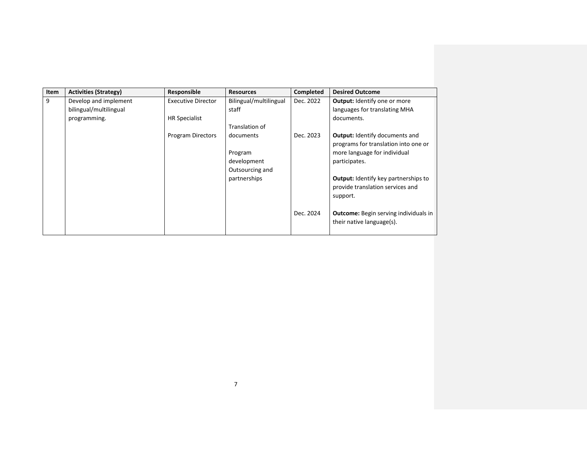| Item | <b>Activities (Strategy)</b> | Responsible               | <b>Resources</b>       | Completed | <b>Desired Outcome</b>                                                        |
|------|------------------------------|---------------------------|------------------------|-----------|-------------------------------------------------------------------------------|
| 9    | Develop and implement        | <b>Executive Director</b> | Bilingual/multilingual | Dec. 2022 | <b>Output: Identify one or more</b>                                           |
|      | bilingual/multilingual       |                           | staff                  |           | languages for translating MHA                                                 |
|      | programming.                 | <b>HR Specialist</b>      |                        |           | documents.                                                                    |
|      |                              |                           | Translation of         |           |                                                                               |
|      |                              | Program Directors         | documents              | Dec. 2023 | <b>Output:</b> Identify documents and<br>programs for translation into one or |
|      |                              |                           | Program                |           | more language for individual                                                  |
|      |                              |                           | development            |           | participates.                                                                 |
|      |                              |                           | Outsourcing and        |           |                                                                               |
|      |                              |                           | partnerships           |           | <b>Output:</b> Identify key partnerships to                                   |
|      |                              |                           |                        |           | provide translation services and                                              |
|      |                              |                           |                        |           | support.                                                                      |
|      |                              |                           |                        |           |                                                                               |
|      |                              |                           |                        | Dec. 2024 | <b>Outcome:</b> Begin serving individuals in                                  |
|      |                              |                           |                        |           | their native language(s).                                                     |
|      |                              |                           |                        |           |                                                                               |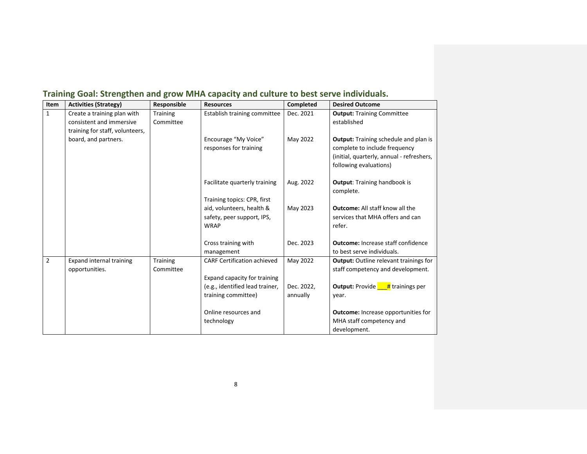| Item           | <b>Activities (Strategy)</b>    | Responsible | <b>Resources</b>                   | <b>Completed</b> | <b>Desired Outcome</b>                             |
|----------------|---------------------------------|-------------|------------------------------------|------------------|----------------------------------------------------|
| $\mathbf{1}$   | Create a training plan with     | Training    | Establish training committee       | Dec. 2021        | <b>Output: Training Committee</b>                  |
|                | consistent and immersive        | Committee   |                                    |                  | established                                        |
|                | training for staff, volunteers, |             |                                    |                  |                                                    |
|                | board, and partners.            |             | Encourage "My Voice"               | May 2022         | <b>Output:</b> Training schedule and plan is       |
|                |                                 |             | responses for training             |                  | complete to include frequency                      |
|                |                                 |             |                                    |                  | (initial, quarterly, annual - refreshers,          |
|                |                                 |             |                                    |                  | following evaluations)                             |
|                |                                 |             | Facilitate quarterly training      | Aug. 2022        | <b>Output:</b> Training handbook is                |
|                |                                 |             |                                    |                  | complete.                                          |
|                |                                 |             | Training topics: CPR, first        |                  |                                                    |
|                |                                 |             | aid, volunteers, health &          | May 2023         | <b>Outcome:</b> All staff know all the             |
|                |                                 |             | safety, peer support, IPS,         |                  | services that MHA offers and can                   |
|                |                                 |             | <b>WRAP</b>                        |                  | refer.                                             |
|                |                                 |             | Cross training with                | Dec. 2023        | <b>Outcome: Increase staff confidence</b>          |
|                |                                 |             | management                         |                  | to best serve individuals.                         |
| $\overline{2}$ | <b>Expand internal training</b> | Training    | <b>CARF Certification achieved</b> | May 2022         | <b>Output:</b> Outline relevant trainings for      |
|                | opportunities.                  | Committee   |                                    |                  | staff competency and development.                  |
|                |                                 |             | Expand capacity for training       |                  |                                                    |
|                |                                 |             | (e.g., identified lead trainer,    | Dec. 2022,       | <b>Output:</b> Provide $\frac{H}{H}$ trainings per |
|                |                                 |             | training committee)                | annually         | year.                                              |
|                |                                 |             |                                    |                  |                                                    |
|                |                                 |             | Online resources and               |                  | <b>Outcome:</b> Increase opportunities for         |
|                |                                 |             | technology                         |                  | MHA staff competency and                           |
|                |                                 |             |                                    |                  | development.                                       |

# <span id="page-7-0"></span>**Training Goal: Strengthen and grow MHA capacity and culture to best serve individuals.**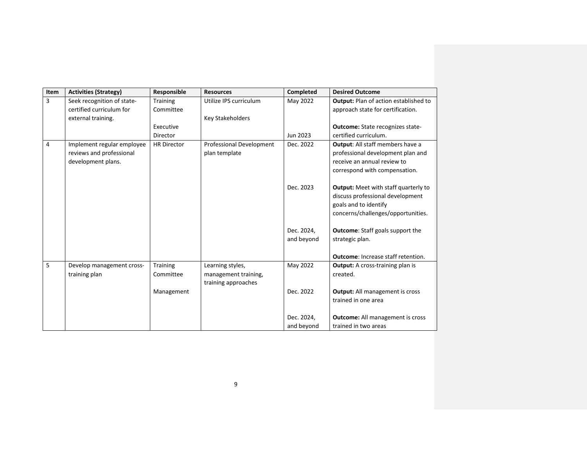| Item | <b>Activities (Strategy)</b> | Responsible        | <b>Resources</b>         | Completed  | <b>Desired Outcome</b>                       |
|------|------------------------------|--------------------|--------------------------|------------|----------------------------------------------|
| 3    | Seek recognition of state-   | Training           | Utilize IPS curriculum   | May 2022   | <b>Output:</b> Plan of action established to |
|      | certified curriculum for     | Committee          |                          |            | approach state for certification.            |
|      | external training.           |                    | <b>Key Stakeholders</b>  |            |                                              |
|      |                              | Executive          |                          |            | <b>Outcome:</b> State recognizes state-      |
|      |                              | Director           |                          | Jun 2023   | certified curriculum.                        |
| 4    | Implement regular employee   | <b>HR Director</b> | Professional Development | Dec. 2022  | <b>Output:</b> All staff members have a      |
|      | reviews and professional     |                    | plan template            |            | professional development plan and            |
|      | development plans.           |                    |                          |            | receive an annual review to                  |
|      |                              |                    |                          |            | correspond with compensation.                |
|      |                              |                    |                          | Dec. 2023  | <b>Output:</b> Meet with staff quarterly to  |
|      |                              |                    |                          |            | discuss professional development             |
|      |                              |                    |                          |            | goals and to identify                        |
|      |                              |                    |                          |            | concerns/challenges/opportunities.           |
|      |                              |                    |                          | Dec. 2024, | <b>Outcome:</b> Staff goals support the      |
|      |                              |                    |                          | and beyond | strategic plan.                              |
|      |                              |                    |                          |            |                                              |
|      |                              |                    |                          |            | <b>Outcome:</b> Increase staff retention.    |
| 5    | Develop management cross-    | <b>Training</b>    | Learning styles,         | May 2022   | <b>Output:</b> A cross-training plan is      |
|      | training plan                | Committee          | management training,     |            | created.                                     |
|      |                              |                    | training approaches      |            |                                              |
|      |                              | Management         |                          | Dec. 2022  | <b>Output:</b> All management is cross       |
|      |                              |                    |                          |            | trained in one area                          |
|      |                              |                    |                          |            |                                              |
|      |                              |                    |                          | Dec. 2024, | <b>Outcome:</b> All management is cross      |
|      |                              |                    |                          | and beyond | trained in two areas                         |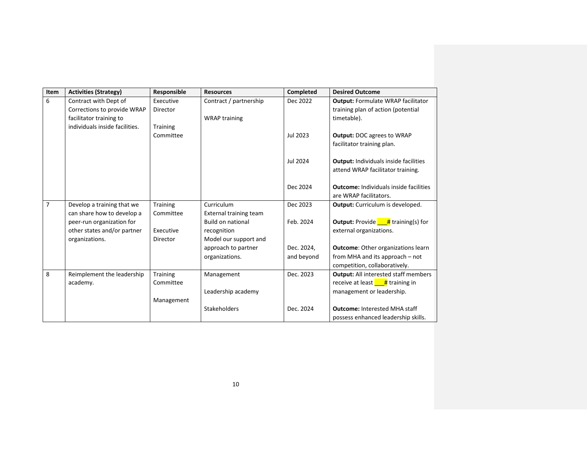| Item           | <b>Activities (Strategy)</b>   | Responsible     | <b>Resources</b>              | Completed  | <b>Desired Outcome</b>                               |
|----------------|--------------------------------|-----------------|-------------------------------|------------|------------------------------------------------------|
| 6              | Contract with Dept of          | Executive       | Contract / partnership        | Dec 2022   | <b>Output: Formulate WRAP facilitator</b>            |
|                | Corrections to provide WRAP    | Director        |                               |            | training plan of action (potential                   |
|                | facilitator training to        |                 | <b>WRAP training</b>          |            | timetable).                                          |
|                | individuals inside facilities. | <b>Training</b> |                               |            |                                                      |
|                |                                | Committee       |                               | Jul 2023   | <b>Output: DOC agrees to WRAP</b>                    |
|                |                                |                 |                               |            | facilitator training plan.                           |
|                |                                |                 |                               |            |                                                      |
|                |                                |                 |                               | Jul 2024   | <b>Output: Individuals inside facilities</b>         |
|                |                                |                 |                               |            | attend WRAP facilitator training.                    |
|                |                                |                 |                               | Dec 2024   | <b>Outcome:</b> Individuals inside facilities        |
|                |                                |                 |                               |            | are WRAP facilitators.                               |
| $\overline{7}$ | Develop a training that we     | <b>Training</b> | Curriculum                    | Dec 2023   | <b>Output:</b> Curriculum is developed.              |
|                | can share how to develop a     | Committee       | <b>External training team</b> |            |                                                      |
|                | peer-run organization for      |                 | <b>Build on national</b>      | Feb. 2024  | <b>Output:</b> Provide $\frac{1}{4}$ training(s) for |
|                | other states and/or partner    | Executive       | recognition                   |            | external organizations.                              |
|                | organizations.                 | Director        | Model our support and         |            |                                                      |
|                |                                |                 | approach to partner           | Dec. 2024, | <b>Outcome:</b> Other organizations learn            |
|                |                                |                 | organizations.                | and beyond | from MHA and its approach - not                      |
|                |                                |                 |                               |            | competition, collaboratively.                        |
| 8              | Reimplement the leadership     | <b>Training</b> | Management                    | Dec. 2023  | <b>Output:</b> All interested staff members          |
|                | academy.                       | Committee       |                               |            | receive at least $\frac{H}{1}$ training in           |
|                |                                |                 | Leadership academy            |            | management or leadership.                            |
|                |                                | Management      |                               |            |                                                      |
|                |                                |                 | Stakeholders                  | Dec. 2024  | <b>Outcome: Interested MHA staff</b>                 |
|                |                                |                 |                               |            | possess enhanced leadership skills.                  |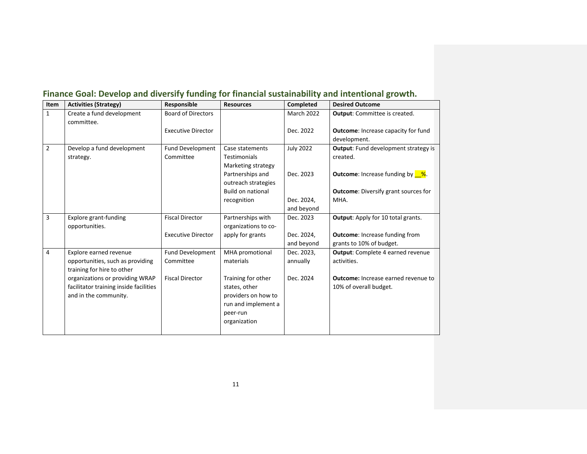| Item           | <b>Activities (Strategy)</b>                                                                       | Responsible                          | <b>Resources</b>                                                                                              | Completed              | <b>Desired Outcome</b>                                        |
|----------------|----------------------------------------------------------------------------------------------------|--------------------------------------|---------------------------------------------------------------------------------------------------------------|------------------------|---------------------------------------------------------------|
| $\mathbf{1}$   | Create a fund development<br>committee.                                                            | <b>Board of Directors</b>            |                                                                                                               | March 2022             | <b>Output:</b> Committee is created.                          |
|                |                                                                                                    | <b>Executive Director</b>            |                                                                                                               | Dec. 2022              | <b>Outcome:</b> Increase capacity for fund<br>development.    |
| $\overline{2}$ | Develop a fund development<br>strategy.                                                            | <b>Fund Development</b><br>Committee | Case statements<br><b>Testimonials</b><br>Marketing strategy                                                  | <b>July 2022</b>       | <b>Output:</b> Fund development strategy is<br>created.       |
|                |                                                                                                    |                                      | Partnerships and<br>outreach strategies                                                                       | Dec. 2023              | <b>Outcome:</b> Increase funding by $\frac{8}{10}$ .          |
|                |                                                                                                    |                                      | <b>Build on national</b>                                                                                      |                        | <b>Outcome:</b> Diversify grant sources for                   |
|                |                                                                                                    |                                      | recognition                                                                                                   | Dec. 2024,             | MHA.                                                          |
|                |                                                                                                    |                                      |                                                                                                               | and beyond             |                                                               |
| 3              | <b>Explore grant-funding</b><br>opportunities.                                                     | <b>Fiscal Director</b>               | Partnerships with<br>organizations to co-                                                                     | Dec. 2023              | <b>Output:</b> Apply for 10 total grants.                     |
|                |                                                                                                    | <b>Executive Director</b>            | apply for grants                                                                                              | Dec. 2024,             | <b>Outcome:</b> Increase funding from                         |
|                |                                                                                                    |                                      |                                                                                                               | and beyond             | grants to 10% of budget.                                      |
| 4              | Explore earned revenue<br>opportunities, such as providing<br>training for hire to other           | <b>Fund Development</b><br>Committee | MHA promotional<br>materials                                                                                  | Dec. 2023,<br>annually | <b>Output:</b> Complete 4 earned revenue<br>activities.       |
|                | organizations or providing WRAP<br>facilitator training inside facilities<br>and in the community. | <b>Fiscal Director</b>               | Training for other<br>states, other<br>providers on how to<br>run and implement a<br>peer-run<br>organization | Dec. 2024              | Outcome: Increase earned revenue to<br>10% of overall budget. |

# <span id="page-10-0"></span>**Finance Goal: Develop and diversify funding for financial sustainability and intentional growth.**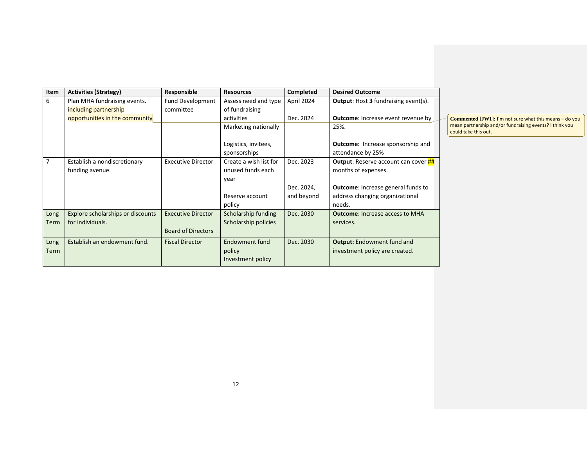| Item        | <b>Activities (Strategy)</b>      | Responsible               | <b>Resources</b>                     | <b>Completed</b> | <b>Desired Outcome</b>                                        |
|-------------|-----------------------------------|---------------------------|--------------------------------------|------------------|---------------------------------------------------------------|
| 6           | Plan MHA fundraising events.      | Fund Development          | Assess need and type                 | April 2024       | <b>Output:</b> Host 3 fundraising event(s).                   |
|             | including partnership             | committee                 | of fundraising                       |                  |                                                               |
|             | opportunities in the community    |                           | activities                           | Dec. 2024        | <b>Outcome:</b> Increase event revenue by                     |
|             |                                   |                           | Marketing nationally                 |                  | 25%.                                                          |
|             |                                   |                           | Logistics, invitees,<br>sponsorships |                  | <b>Outcome:</b> Increase sponsorship and<br>attendance by 25% |
| 7           | Establish a nondiscretionary      | <b>Executive Director</b> | Create a wish list for               | Dec. 2023        | <b>Output:</b> Reserve account can cover <b>##</b>            |
|             | funding avenue.                   |                           | unused funds each                    |                  | months of expenses.                                           |
|             |                                   |                           | year                                 |                  |                                                               |
|             |                                   |                           |                                      | Dec. 2024,       | <b>Outcome:</b> Increase general funds to                     |
|             |                                   |                           | Reserve account                      | and beyond       | address changing organizational                               |
|             |                                   |                           | policy                               |                  | needs.                                                        |
| Long        | Explore scholarships or discounts | <b>Executive Director</b> | Scholarship funding                  | Dec. 2030        | <b>Outcome:</b> Increase access to MHA                        |
| Term        | for individuals.                  |                           | Scholarship policies                 |                  | services.                                                     |
|             |                                   | <b>Board of Directors</b> |                                      |                  |                                                               |
| Long        | Establish an endowment fund.      | <b>Fiscal Director</b>    | Endowment fund                       | Dec. 2030        | <b>Output:</b> Endowment fund and                             |
| <b>Term</b> |                                   |                           | policy                               |                  | investment policy are created.                                |
|             |                                   |                           | Investment policy                    |                  |                                                               |

**Commented [JW1]:** I'm not sure what this means – do you mean partnership and/or fundraising events? I think you could take this out.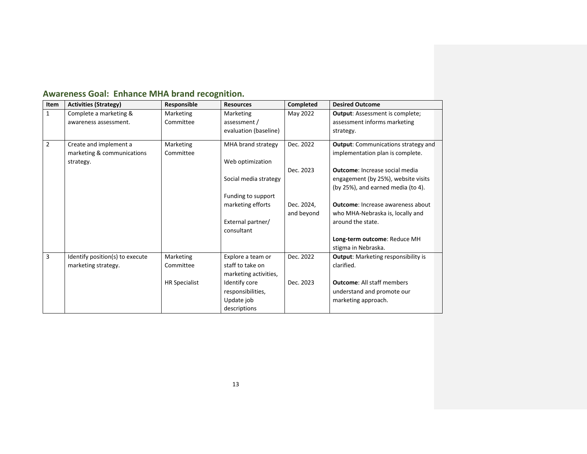| Item           | <b>Activities (Strategy)</b>    | Responsible          | <b>Resources</b>      | Completed  | <b>Desired Outcome</b>                     |
|----------------|---------------------------------|----------------------|-----------------------|------------|--------------------------------------------|
| $\mathbf{1}$   | Complete a marketing &          | Marketing            | Marketing             | May 2022   | <b>Output:</b> Assessment is complete;     |
|                | awareness assessment.           | Committee            | assessment /          |            | assessment informs marketing               |
|                |                                 |                      | evaluation (baseline) |            | strategy.                                  |
| $\overline{2}$ | Create and implement a          | Marketing            | MHA brand strategy    | Dec. 2022  | <b>Output:</b> Communications strategy and |
|                | marketing & communications      | Committee            |                       |            | implementation plan is complete.           |
|                | strategy.                       |                      | Web optimization      |            |                                            |
|                |                                 |                      |                       | Dec. 2023  | <b>Outcome:</b> Increase social media      |
|                |                                 |                      | Social media strategy |            | engagement (by 25%), website visits        |
|                |                                 |                      |                       |            | (by 25%), and earned media (to 4).         |
|                |                                 |                      | Funding to support    |            |                                            |
|                |                                 |                      | marketing efforts     | Dec. 2024. | <b>Outcome:</b> Increase awareness about   |
|                |                                 |                      |                       | and beyond | who MHA-Nebraska is, locally and           |
|                |                                 |                      | External partner/     |            | around the state.                          |
|                |                                 |                      | consultant            |            |                                            |
|                |                                 |                      |                       |            | Long-term outcome: Reduce MH               |
|                |                                 |                      |                       |            | stigma in Nebraska.                        |
| 3              | Identify position(s) to execute | Marketing            | Explore a team or     | Dec. 2022  | <b>Output:</b> Marketing responsibility is |
|                | marketing strategy.             | Committee            | staff to take on      |            | clarified.                                 |
|                |                                 |                      | marketing activities, |            |                                            |
|                |                                 | <b>HR Specialist</b> | Identify core         | Dec. 2023  | <b>Outcome: All staff members</b>          |
|                |                                 |                      | responsibilities,     |            | understand and promote our                 |
|                |                                 |                      | Update job            |            | marketing approach.                        |
|                |                                 |                      | descriptions          |            |                                            |

### <span id="page-12-0"></span>**Awareness Goal: Enhance MHA brand recognition.**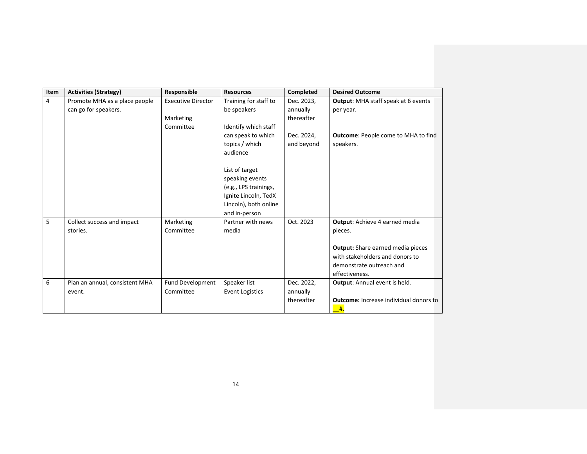| Item           | <b>Activities (Strategy)</b>   | Responsible               | <b>Resources</b>       | Completed  | <b>Desired Outcome</b>                        |
|----------------|--------------------------------|---------------------------|------------------------|------------|-----------------------------------------------|
| $\overline{4}$ | Promote MHA as a place people  | <b>Executive Director</b> | Training for staff to  | Dec. 2023, | <b>Output:</b> MHA staff speak at 6 events    |
|                | can go for speakers.           |                           | be speakers            | annually   | per year.                                     |
|                |                                | Marketing                 |                        | thereafter |                                               |
|                |                                | Committee                 | Identify which staff   |            |                                               |
|                |                                |                           | can speak to which     | Dec. 2024, | <b>Outcome: People come to MHA to find</b>    |
|                |                                |                           | topics / which         | and beyond | speakers.                                     |
|                |                                |                           | audience               |            |                                               |
|                |                                |                           |                        |            |                                               |
|                |                                |                           | List of target         |            |                                               |
|                |                                |                           | speaking events        |            |                                               |
|                |                                |                           | (e.g., LPS trainings,  |            |                                               |
|                |                                |                           | Ignite Lincoln, TedX   |            |                                               |
|                |                                |                           | Lincoln), both online  |            |                                               |
|                |                                |                           | and in-person          |            |                                               |
| 5              | Collect success and impact     | Marketing                 | Partner with news      | Oct. 2023  | Output: Achieve 4 earned media                |
|                | stories.                       | Committee                 | media                  |            | pieces.                                       |
|                |                                |                           |                        |            |                                               |
|                |                                |                           |                        |            | <b>Output:</b> Share earned media pieces      |
|                |                                |                           |                        |            | with stakeholders and donors to               |
|                |                                |                           |                        |            | demonstrate outreach and                      |
|                |                                |                           |                        |            | effectiveness.                                |
| 6              | Plan an annual, consistent MHA | Fund Development          | Speaker list           | Dec. 2022, | <b>Output:</b> Annual event is held.          |
|                | event.                         | Committee                 | <b>Event Logistics</b> | annually   |                                               |
|                |                                |                           |                        | thereafter | <b>Outcome:</b> Increase individual donors to |
|                |                                |                           |                        |            | #.                                            |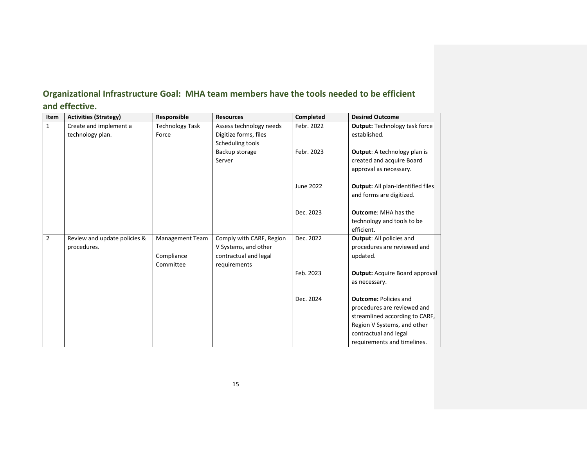| Item           | <b>Activities (Strategy)</b> | Responsible            | <b>Resources</b>         | Completed  | <b>Desired Outcome</b>                   |
|----------------|------------------------------|------------------------|--------------------------|------------|------------------------------------------|
| $\mathbf{1}$   | Create and implement a       | <b>Technology Task</b> | Assess technology needs  | Febr. 2022 | <b>Output: Technology task force</b>     |
|                | technology plan.             | Force                  | Digitize forms, files    |            | established.                             |
|                |                              |                        | Scheduling tools         |            |                                          |
|                |                              |                        | Backup storage           | Febr. 2023 | <b>Output:</b> A technology plan is      |
|                |                              |                        | Server                   |            | created and acquire Board                |
|                |                              |                        |                          |            | approval as necessary.                   |
|                |                              |                        |                          | June 2022  | <b>Output:</b> All plan-identified files |
|                |                              |                        |                          |            | and forms are digitized.                 |
|                |                              |                        |                          | Dec. 2023  | <b>Outcome: MHA has the</b>              |
|                |                              |                        |                          |            | technology and tools to be               |
|                |                              |                        |                          |            | efficient.                               |
| $\overline{2}$ | Review and update policies & | Management Team        | Comply with CARF, Region | Dec. 2022  | <b>Output:</b> All policies and          |
|                | procedures.                  |                        | V Systems, and other     |            | procedures are reviewed and              |
|                |                              | Compliance             | contractual and legal    |            | updated.                                 |
|                |                              | Committee              | requirements             |            |                                          |
|                |                              |                        |                          | Feb. 2023  | <b>Output: Acquire Board approval</b>    |
|                |                              |                        |                          |            | as necessary.                            |
|                |                              |                        |                          | Dec. 2024  | <b>Outcome: Policies and</b>             |
|                |                              |                        |                          |            | procedures are reviewed and              |
|                |                              |                        |                          |            | streamlined according to CARF,           |
|                |                              |                        |                          |            | Region V Systems, and other              |
|                |                              |                        |                          |            | contractual and legal                    |
|                |                              |                        |                          |            | requirements and timelines.              |

### <span id="page-14-0"></span>**Organizational Infrastructure Goal: MHA team members have the tools needed to be efficient**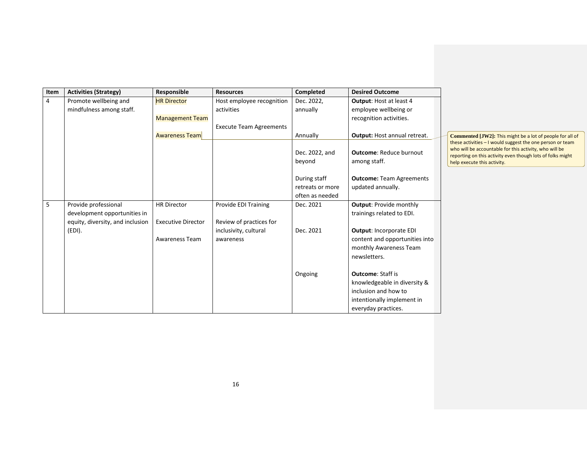| Item           | <b>Activities (Strategy)</b>     | Responsible               | <b>Resources</b>               | Completed                | <b>Desired Outcome</b>                         |                                                                                                                                                                                                                  |
|----------------|----------------------------------|---------------------------|--------------------------------|--------------------------|------------------------------------------------|------------------------------------------------------------------------------------------------------------------------------------------------------------------------------------------------------------------|
| $\overline{4}$ | Promote wellbeing and            | <b>HR Director</b>        | Host employee recognition      | Dec. 2022,               | <b>Output: Host at least 4</b>                 |                                                                                                                                                                                                                  |
|                | mindfulness among staff.         |                           | activities                     | annually                 | employee wellbeing or                          |                                                                                                                                                                                                                  |
|                |                                  | <b>Management Team</b>    |                                |                          | recognition activities.                        |                                                                                                                                                                                                                  |
|                |                                  |                           | <b>Execute Team Agreements</b> |                          |                                                |                                                                                                                                                                                                                  |
|                |                                  | <b>Awareness Team</b>     |                                | Annually                 | Output: Host annual retreat.                   | Commented [JW2]: This might be a lot of people for all of                                                                                                                                                        |
|                |                                  |                           |                                | Dec. 2022, and<br>beyond | <b>Outcome: Reduce burnout</b><br>among staff. | these activities - I would suggest the one person or team<br>who will be accountable for this activity, who will be<br>reporting on this activity even though lots of folks might<br>help execute this activity. |
|                |                                  |                           |                                | During staff             | <b>Outcome: Team Agreements</b>                |                                                                                                                                                                                                                  |
|                |                                  |                           |                                | retreats or more         | updated annually.                              |                                                                                                                                                                                                                  |
|                |                                  |                           |                                | often as needed          |                                                |                                                                                                                                                                                                                  |
| 5              | Provide professional             | <b>HR Director</b>        | Provide EDI Training           | Dec. 2021                | <b>Output: Provide monthly</b>                 |                                                                                                                                                                                                                  |
|                | development opportunities in     |                           |                                |                          | trainings related to EDI.                      |                                                                                                                                                                                                                  |
|                | equity, diversity, and inclusion | <b>Executive Director</b> | Review of practices for        |                          |                                                |                                                                                                                                                                                                                  |
|                | (EDI).                           |                           | inclusivity, cultural          | Dec. 2021                | <b>Output: Incorporate EDI</b>                 |                                                                                                                                                                                                                  |
|                |                                  | Awareness Team            | awareness                      |                          | content and opportunities into                 |                                                                                                                                                                                                                  |
|                |                                  |                           |                                |                          | monthly Awareness Team                         |                                                                                                                                                                                                                  |
|                |                                  |                           |                                |                          | newsletters.                                   |                                                                                                                                                                                                                  |
|                |                                  |                           |                                | Ongoing                  | <b>Outcome: Staff is</b>                       |                                                                                                                                                                                                                  |
|                |                                  |                           |                                |                          | knowledgeable in diversity &                   |                                                                                                                                                                                                                  |
|                |                                  |                           |                                |                          | inclusion and how to                           |                                                                                                                                                                                                                  |
|                |                                  |                           |                                |                          | intentionally implement in                     |                                                                                                                                                                                                                  |
|                |                                  |                           |                                |                          | everyday practices.                            |                                                                                                                                                                                                                  |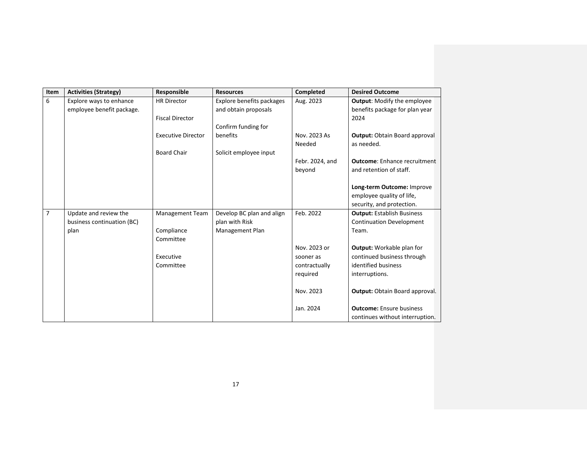| Item           | <b>Activities (Strategy)</b> | Responsible               | <b>Resources</b>          | <b>Completed</b> | <b>Desired Outcome</b>                |
|----------------|------------------------------|---------------------------|---------------------------|------------------|---------------------------------------|
| 6              | Explore ways to enhance      | <b>HR Director</b>        | Explore benefits packages | Aug. 2023        | <b>Output:</b> Modify the employee    |
|                | employee benefit package.    |                           | and obtain proposals      |                  | benefits package for plan year        |
|                |                              | <b>Fiscal Director</b>    |                           |                  | 2024                                  |
|                |                              |                           | Confirm funding for       |                  |                                       |
|                |                              | <b>Executive Director</b> | benefits                  | Nov. 2023 As     | <b>Output: Obtain Board approval</b>  |
|                |                              |                           |                           | Needed           | as needed.                            |
|                |                              | <b>Board Chair</b>        | Solicit employee input    |                  |                                       |
|                |                              |                           |                           | Febr. 2024, and  | <b>Outcome:</b> Enhance recruitment   |
|                |                              |                           |                           | beyond           | and retention of staff.               |
|                |                              |                           |                           |                  |                                       |
|                |                              |                           |                           |                  | Long-term Outcome: Improve            |
|                |                              |                           |                           |                  | employee quality of life,             |
|                |                              |                           |                           |                  | security, and protection.             |
| $\overline{7}$ | Update and review the        | <b>Management Team</b>    | Develop BC plan and align | Feb. 2022        | <b>Output: Establish Business</b>     |
|                | business continuation (BC)   |                           | plan with Risk            |                  | <b>Continuation Development</b>       |
|                | plan                         | Compliance                | Management Plan           |                  | Team.                                 |
|                |                              | Committee                 |                           |                  |                                       |
|                |                              |                           |                           | Nov. 2023 or     | <b>Output:</b> Workable plan for      |
|                |                              | Executive                 |                           | sooner as        | continued business through            |
|                |                              | Committee                 |                           | contractually    | identified business                   |
|                |                              |                           |                           | required         | interruptions.                        |
|                |                              |                           |                           |                  |                                       |
|                |                              |                           |                           | Nov. 2023        | <b>Output: Obtain Board approval.</b> |
|                |                              |                           |                           |                  |                                       |
|                |                              |                           |                           | Jan. 2024        | <b>Outcome:</b> Ensure business       |
|                |                              |                           |                           |                  | continues without interruption.       |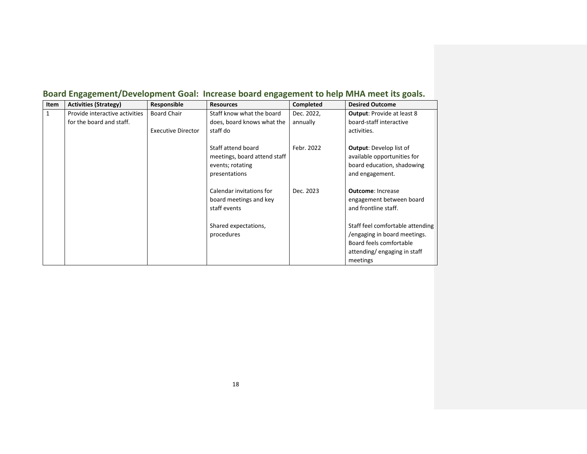| Item         | <b>Activities (Strategy)</b>   | Responsible               | <b>Resources</b>                                                                        | Completed  | <b>Desired Outcome</b>                                                                                                                 |
|--------------|--------------------------------|---------------------------|-----------------------------------------------------------------------------------------|------------|----------------------------------------------------------------------------------------------------------------------------------------|
| $\mathbf{1}$ | Provide interactive activities | <b>Board Chair</b>        | Staff know what the board                                                               | Dec. 2022, | <b>Output:</b> Provide at least 8                                                                                                      |
|              | for the board and staff.       |                           | does, board knows what the                                                              | annually   | board-staff interactive                                                                                                                |
|              |                                | <b>Executive Director</b> | staff do                                                                                |            | activities.                                                                                                                            |
|              |                                |                           | Staff attend board<br>meetings, board attend staff<br>events; rotating<br>presentations | Febr. 2022 | <b>Output:</b> Develop list of<br>available opportunities for<br>board education, shadowing<br>and engagement.                         |
|              |                                |                           | Calendar invitations for<br>board meetings and key<br>staff events                      | Dec. 2023  | <b>Outcome: Increase</b><br>engagement between board<br>and frontline staff.                                                           |
|              |                                |                           | Shared expectations,<br>procedures                                                      |            | Staff feel comfortable attending<br>/engaging in board meetings.<br>Board feels comfortable<br>attending/engaging in staff<br>meetings |

### <span id="page-17-0"></span>**Board Engagement/Development Goal: Increase board engagement to help MHA meet its goals.**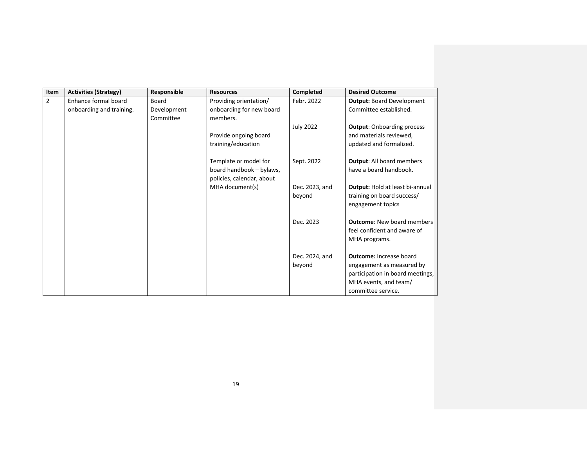| Item           | <b>Activities (Strategy)</b>                     | Responsible          | <b>Resources</b>                                                               | Completed                | <b>Desired Outcome</b>                                                                    |
|----------------|--------------------------------------------------|----------------------|--------------------------------------------------------------------------------|--------------------------|-------------------------------------------------------------------------------------------|
| $\overline{2}$ | Enhance formal board<br>onboarding and training. | Board<br>Development | Providing orientation/<br>onboarding for new board                             | Febr. 2022               | <b>Output: Board Development</b><br>Committee established.                                |
|                |                                                  | Committee            | members.                                                                       |                          |                                                                                           |
|                |                                                  |                      |                                                                                | <b>July 2022</b>         | <b>Output: Onboarding process</b>                                                         |
|                |                                                  |                      | Provide ongoing board                                                          |                          | and materials reviewed,                                                                   |
|                |                                                  |                      | training/education                                                             |                          | updated and formalized.                                                                   |
|                |                                                  |                      | Template or model for<br>board handbook - bylaws,<br>policies, calendar, about | Sept. 2022               | <b>Output: All board members</b><br>have a board handbook.                                |
|                |                                                  |                      | MHA document(s)                                                                | Dec. 2023, and<br>beyond | <b>Output: Hold at least bi-annual</b><br>training on board success/<br>engagement topics |
|                |                                                  |                      |                                                                                | Dec. 2023                | <b>Outcome: New board members</b><br>feel confident and aware of<br>MHA programs.         |
|                |                                                  |                      |                                                                                | Dec. 2024, and           | <b>Outcome: Increase board</b>                                                            |
|                |                                                  |                      |                                                                                | beyond                   | engagement as measured by                                                                 |
|                |                                                  |                      |                                                                                |                          | participation in board meetings,                                                          |
|                |                                                  |                      |                                                                                |                          | MHA events, and team/                                                                     |
|                |                                                  |                      |                                                                                |                          | committee service.                                                                        |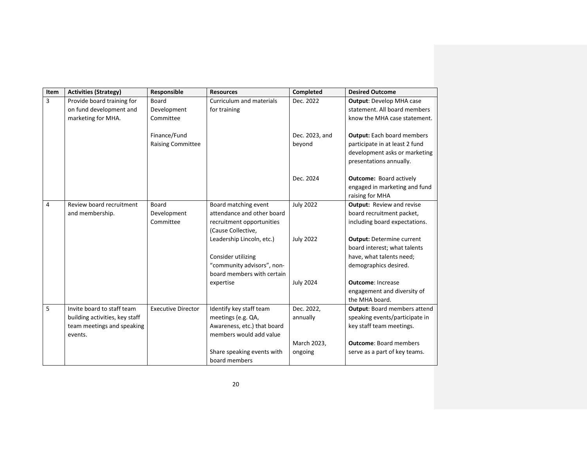| Item           | <b>Activities (Strategy)</b>          | Responsible               | <b>Resources</b>                                       | Completed        | <b>Desired Outcome</b>              |
|----------------|---------------------------------------|---------------------------|--------------------------------------------------------|------------------|-------------------------------------|
| 3              | Provide board training for            | Board                     | Curriculum and materials                               | Dec. 2022        | <b>Output: Develop MHA case</b>     |
|                | on fund development and               | Development               | for training                                           |                  | statement. All board members        |
|                | marketing for MHA.                    | Committee                 |                                                        |                  | know the MHA case statement.        |
|                |                                       |                           |                                                        |                  |                                     |
|                |                                       | Finance/Fund              |                                                        | Dec. 2023, and   | <b>Output:</b> Each board members   |
|                |                                       | <b>Raising Committee</b>  |                                                        | beyond           | participate in at least 2 fund      |
|                |                                       |                           |                                                        |                  | development asks or marketing       |
|                |                                       |                           |                                                        |                  | presentations annually.             |
|                |                                       |                           |                                                        | Dec. 2024        | <b>Outcome: Board actively</b>      |
|                |                                       |                           |                                                        |                  | engaged in marketing and fund       |
|                |                                       |                           |                                                        |                  | raising for MHA                     |
| $\overline{4}$ | Review board recruitment              | Board                     | Board matching event                                   | <b>July 2022</b> | <b>Output:</b> Review and revise    |
|                | and membership.                       | Development               | attendance and other board                             |                  | board recruitment packet,           |
|                |                                       | Committee                 | recruitment opportunities                              |                  | including board expectations.       |
|                |                                       |                           | (Cause Collective,                                     |                  |                                     |
|                |                                       |                           | Leadership Lincoln, etc.)                              | <b>July 2022</b> | <b>Output: Determine current</b>    |
|                |                                       |                           |                                                        |                  | board interest; what talents        |
|                |                                       |                           | Consider utilizing                                     |                  | have, what talents need;            |
|                |                                       |                           | "community advisors", non-                             |                  | demographics desired.               |
|                |                                       |                           | board members with certain                             |                  |                                     |
|                |                                       |                           | expertise                                              | <b>July 2024</b> | <b>Outcome: Increase</b>            |
|                |                                       |                           |                                                        |                  | engagement and diversity of         |
|                |                                       |                           |                                                        |                  | the MHA board.                      |
| 5              | Invite board to staff team            | <b>Executive Director</b> | Identify key staff team                                | Dec. 2022.       | <b>Output: Board members attend</b> |
|                | building activities, key staff        |                           | meetings (e.g. QA,                                     | annually         | speaking events/participate in      |
|                | team meetings and speaking<br>events. |                           | Awareness, etc.) that board<br>members would add value |                  | key staff team meetings.            |
|                |                                       |                           |                                                        | March 2023,      | <b>Outcome: Board members</b>       |
|                |                                       |                           | Share speaking events with                             | ongoing          | serve as a part of key teams.       |
|                |                                       |                           | board members                                          |                  |                                     |
|                |                                       |                           |                                                        |                  |                                     |